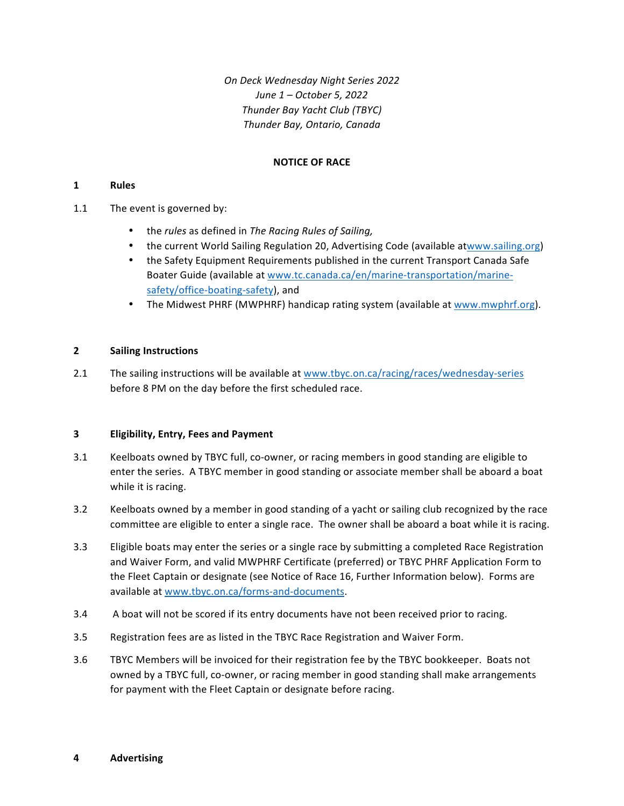*On Deck Wednesday Night Series 2022 June 1 – October 5, 2022 Thunder Bay Yacht Club (TBYC) Thunder Bay, Ontario, Canada*

# **NOTICE OF RACE**

## **1 Rules**

- 1.1 The event is governed by:
	- the *rules* as defined in *The Racing Rules of Sailing*,
	- the current World Sailing Regulation 20, Advertising Code (available atwww.sailing.org)
	- the Safety Equipment Requirements published in the current Transport Canada Safe Boater Guide (available at www.tc.canada.ca/en/marine-transportation/marinesafety/office-boating-safety), and
	- The Midwest PHRF (MWPHRF) handicap rating system (available at www.mwphrf.org).

### **2 Sailing Instructions**

2.1 The sailing instructions will be available at www.tbyc.on.ca/racing/races/wednesday-series before 8 PM on the day before the first scheduled race.

## **3 Eligibility, Entry, Fees and Payment**

- 3.1 Keelboats owned by TBYC full, co-owner, or racing members in good standing are eligible to enter the series. A TBYC member in good standing or associate member shall be aboard a boat while it is racing.
- 3.2 Keelboats owned by a member in good standing of a yacht or sailing club recognized by the race committee are eligible to enter a single race. The owner shall be aboard a boat while it is racing.
- 3.3 Eligible boats may enter the series or a single race by submitting a completed Race Registration and Waiver Form, and valid MWPHRF Certificate (preferred) or TBYC PHRF Application Form to the Fleet Captain or designate (see Notice of Race 16, Further Information below). Forms are available at www.tbyc.on.ca/forms-and-documents.
- 3.4 A boat will not be scored if its entry documents have not been received prior to racing.
- 3.5 Registration fees are as listed in the TBYC Race Registration and Waiver Form.
- 3.6 TBYC Members will be invoiced for their registration fee by the TBYC bookkeeper. Boats not owned by a TBYC full, co-owner, or racing member in good standing shall make arrangements for payment with the Fleet Captain or designate before racing.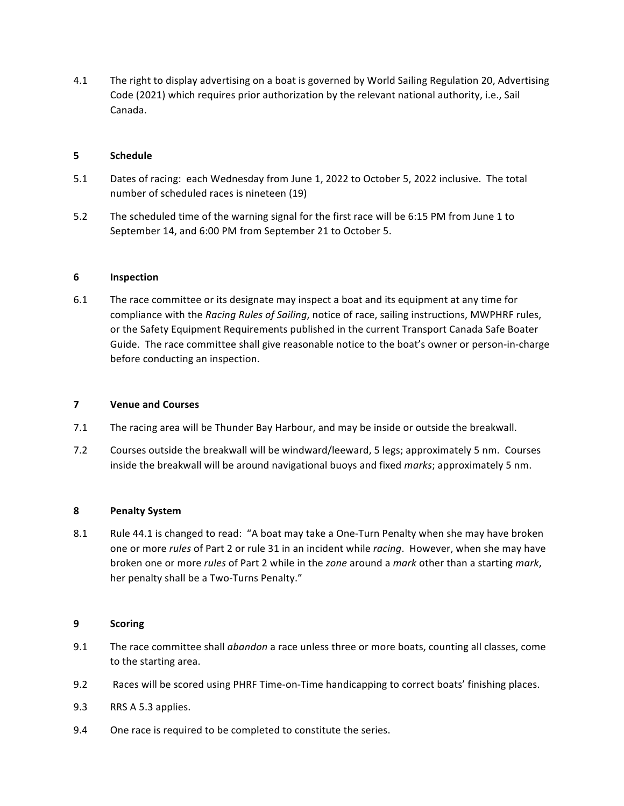4.1 The right to display advertising on a boat is governed by World Sailing Regulation 20, Advertising Code (2021) which requires prior authorization by the relevant national authority, i.e., Sail Canada. 

### **5 Schedule**

- 5.1 Dates of racing: each Wednesday from June 1, 2022 to October 5, 2022 inclusive. The total number of scheduled races is nineteen (19)
- 5.2 The scheduled time of the warning signal for the first race will be 6:15 PM from June 1 to September 14, and 6:00 PM from September 21 to October 5.

### **6 Inspection**

6.1 The race committee or its designate may inspect a boat and its equipment at any time for compliance with the *Racing Rules of Sailing*, notice of race, sailing instructions, MWPHRF rules, or the Safety Equipment Requirements published in the current Transport Canada Safe Boater Guide. The race committee shall give reasonable notice to the boat's owner or person-in-charge before conducting an inspection.

## **7 Venue and Courses**

- 7.1 The racing area will be Thunder Bay Harbour, and may be inside or outside the breakwall.
- 7.2 Courses outside the breakwall will be windward/leeward, 5 legs; approximately 5 nm. Courses inside the breakwall will be around navigational buoys and fixed *marks*; approximately 5 nm.

## **8 Penalty System**

8.1 Rule 44.1 is changed to read: "A boat may take a One-Turn Penalty when she may have broken one or more *rules* of Part 2 or rule 31 in an incident while *racing*. However, when she may have broken one or more *rules* of Part 2 while in the *zone* around a *mark* other than a starting *mark*, her penalty shall be a Two-Turns Penalty."

#### **9 Scoring**

- 9.1 The race committee shall *abandon* a race unless three or more boats, counting all classes, come to the starting area.
- 9.2 Races will be scored using PHRF Time-on-Time handicapping to correct boats' finishing places.
- 9.3 RRS A 5.3 applies.
- 9.4 One race is required to be completed to constitute the series.